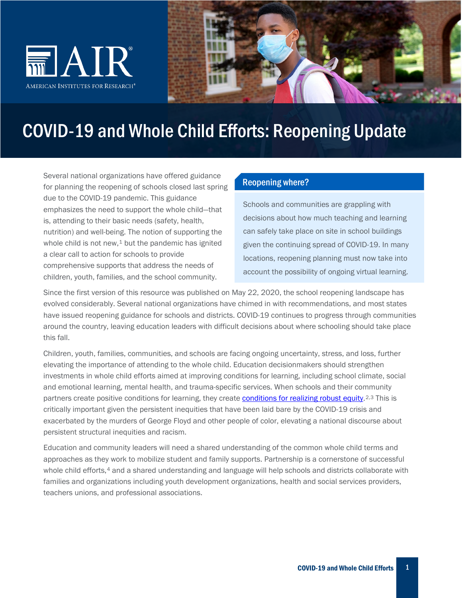



# COVID-19 and Whole Child Efforts: Reopening Update

Several national organizations have offered guidance for planning the reopening of schools closed last spring due to the COVID-19 pandemic. This guidance emphasizes the need to support the whole child—that is, attending to their basic needs (safety, health, nutrition) and well-being. The notion of supporting the whole child is not new, $1$  but the pandemic has ignited a clear call to action for schools to provide comprehensive supports that address the needs of children, youth, families, and the school community.

#### Reopening where?

Schools and communities are grappling with decisions about how much teaching and learning can safely take place on site in school buildings given the continuing spread of COVID-19. In many locations, reopening planning must now take into account the possibility of ongoing virtual learning.

Since the first version of this resource was published on May 22, 2020, the school reopening landscape has evolved considerably. Several national organizations have chimed in with recommendations, and most states have issued reopening guidance for schools and districts. COVID-19 continues to progress through communities around the country, leaving education leaders with difficult decisions about where schooling should take place this fall.

Children, youth, families, communities, and schools are facing ongoing uncertainty, stress, and loss, further elevating the importance of attending to the whole child. Education decisionmakers should strengthen investments in whole child efforts aimed at improving conditions for learning, including school climate, social and emotional learning, mental health, and trauma-specific services. When schools and their community partners create positive conditions for learning, they create [conditions for realizing robust equity.](https://equityallianceblog.org/content/bread-and-roses-too)<sup>[2,](#page-12-1)[3](#page-12-2)</sup> This is critically important given the persistent inequities that have been laid bare by the COVID-19 crisis and exacerbated by the murders of George Floyd and other people of color, elevating a national discourse about persistent structural inequities and racism.

Education and community leaders will need a shared understanding of the common whole child terms and approaches as they work to mobilize student and family supports. Partnership is a cornerstone of successful whole child efforts,<sup>[4](#page-12-3)</sup> and a shared understanding and language will help schools and districts collaborate with families and organizations including youth development organizations, health and social services providers, teachers unions, and professional associations.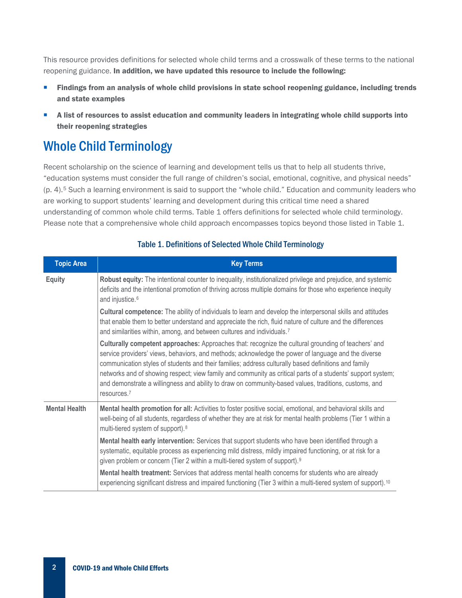This resource provides definitions for selected whole child terms and a crosswalk of these terms to the national reopening guidance. In addition, we have updated this resource to include the following:

- Findings from an analysis of whole child provisions in state school reopening guidance, including trends and state examples
- A list of resources to assist education and community leaders in integrating whole child supports into their reopening strategies

## Whole Child Terminology

Recent scholarship on the science of learning and development tells us that to help all students thrive, "education systems must consider the full range of children's social, emotional, cognitive, and physical needs" (p. 4).[5](#page-12-4) Such a learning environment is said to support the "whole child." Education and community leaders who are working to support students' learning and development during this critical time need a shared understanding of common whole child terms. Table 1 offers definitions for selected whole child terminology. Please note that a comprehensive whole child approach encompasses topics beyond those listed in Table 1.

| <b>Topic Area</b>    | <b>Key Terms</b>                                                                                                                                                                                                                                                                                                                                                                                                                                                                                                                                                      |  |  |  |  |  |
|----------------------|-----------------------------------------------------------------------------------------------------------------------------------------------------------------------------------------------------------------------------------------------------------------------------------------------------------------------------------------------------------------------------------------------------------------------------------------------------------------------------------------------------------------------------------------------------------------------|--|--|--|--|--|
| <b>Equity</b>        | Robust equity: The intentional counter to inequality, institutionalized privilege and prejudice, and systemic<br>deficits and the intentional promotion of thriving across multiple domains for those who experience inequity<br>and injustice. <sup>6</sup>                                                                                                                                                                                                                                                                                                          |  |  |  |  |  |
|                      | Cultural competence: The ability of individuals to learn and develop the interpersonal skills and attitudes<br>that enable them to better understand and appreciate the rich, fluid nature of culture and the differences<br>and similarities within, among, and between cultures and individuals. <sup>7</sup>                                                                                                                                                                                                                                                       |  |  |  |  |  |
|                      | Culturally competent approaches: Approaches that: recognize the cultural grounding of teachers' and<br>service providers' views, behaviors, and methods; acknowledge the power of language and the diverse<br>communication styles of students and their families; address culturally based definitions and family<br>networks and of showing respect; view family and community as critical parts of a students' support system;<br>and demonstrate a willingness and ability to draw on community-based values, traditions, customs, and<br>resources. <sup>7</sup> |  |  |  |  |  |
| <b>Mental Health</b> | Mental health promotion for all: Activities to foster positive social, emotional, and behavioral skills and<br>well-being of all students, regardless of whether they are at risk for mental health problems (Tier 1 within a<br>multi-tiered system of support). <sup>8</sup>                                                                                                                                                                                                                                                                                        |  |  |  |  |  |
|                      | Mental health early intervention: Services that support students who have been identified through a<br>systematic, equitable process as experiencing mild distress, mildly impaired functioning, or at risk for a<br>given problem or concern (Tier 2 within a multi-tiered system of support). <sup>9</sup>                                                                                                                                                                                                                                                          |  |  |  |  |  |
|                      | Mental health treatment: Services that address mental health concerns for students who are already<br>experiencing significant distress and impaired functioning (Tier 3 within a multi-tiered system of support). <sup>10</sup>                                                                                                                                                                                                                                                                                                                                      |  |  |  |  |  |

#### Table 1. Definitions of Selected Whole Child Terminology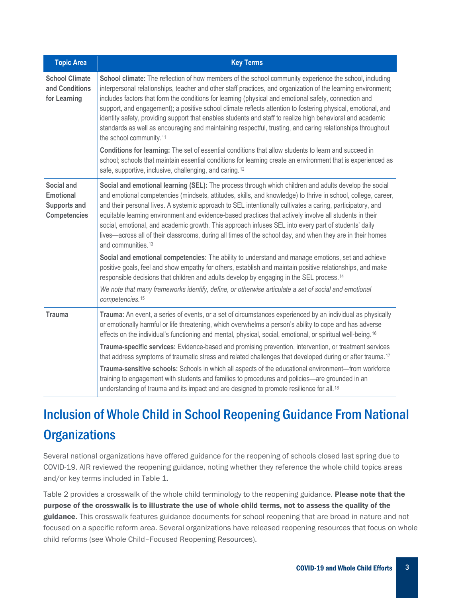| <b>Topic Area</b>                                                            | <b>Key Terms</b>                                                                                                                                                                                                                                                                                                                                                                                                                                                                                                                                                                                                                                                                                                                                                                                                                                                                                                                                                                                                   |  |  |  |  |  |
|------------------------------------------------------------------------------|--------------------------------------------------------------------------------------------------------------------------------------------------------------------------------------------------------------------------------------------------------------------------------------------------------------------------------------------------------------------------------------------------------------------------------------------------------------------------------------------------------------------------------------------------------------------------------------------------------------------------------------------------------------------------------------------------------------------------------------------------------------------------------------------------------------------------------------------------------------------------------------------------------------------------------------------------------------------------------------------------------------------|--|--|--|--|--|
| <b>School Climate</b><br>and Conditions<br>for Learning                      | School climate: The reflection of how members of the school community experience the school, including<br>interpersonal relationships, teacher and other staff practices, and organization of the learning environment;<br>includes factors that form the conditions for learning (physical and emotional safety, connection and<br>support, and engagement); a positive school climate reflects attention to fostering physical, emotional, and<br>identity safety, providing support that enables students and staff to realize high behavioral and academic<br>standards as well as encouraging and maintaining respectful, trusting, and caring relationships throughout<br>the school community. <sup>11</sup><br>Conditions for learning: The set of essential conditions that allow students to learn and succeed in<br>school; schools that maintain essential conditions for learning create an environment that is experienced as<br>safe, supportive, inclusive, challenging, and caring. <sup>12</sup> |  |  |  |  |  |
| Social and<br><b>Emotional</b><br><b>Supports and</b><br><b>Competencies</b> | Social and emotional learning (SEL): The process through which children and adults develop the social<br>and emotional competencies (mindsets, attitudes, skills, and knowledge) to thrive in school, college, career,<br>and their personal lives. A systemic approach to SEL intentionally cultivates a caring, participatory, and<br>equitable learning environment and evidence-based practices that actively involve all students in their<br>social, emotional, and academic growth. This approach infuses SEL into every part of students' daily<br>lives—across all of their classrooms, during all times of the school day, and when they are in their homes<br>and communities. <sup>13</sup>                                                                                                                                                                                                                                                                                                            |  |  |  |  |  |
|                                                                              | Social and emotional competencies: The ability to understand and manage emotions, set and achieve<br>positive goals, feel and show empathy for others, establish and maintain positive relationships, and make<br>responsible decisions that children and adults develop by engaging in the SEL process. <sup>14</sup>                                                                                                                                                                                                                                                                                                                                                                                                                                                                                                                                                                                                                                                                                             |  |  |  |  |  |
|                                                                              | We note that many frameworks identify, define, or otherwise articulate a set of social and emotional<br>competencies. <sup>15</sup>                                                                                                                                                                                                                                                                                                                                                                                                                                                                                                                                                                                                                                                                                                                                                                                                                                                                                |  |  |  |  |  |
| <b>Trauma</b>                                                                | Trauma: An event, a series of events, or a set of circumstances experienced by an individual as physically<br>or emotionally harmful or life threatening, which overwhelms a person's ability to cope and has adverse<br>effects on the individual's functioning and mental, physical, social, emotional, or spiritual well-being. <sup>16</sup>                                                                                                                                                                                                                                                                                                                                                                                                                                                                                                                                                                                                                                                                   |  |  |  |  |  |
|                                                                              | Trauma-specific services: Evidence-based and promising prevention, intervention, or treatment services<br>that address symptoms of traumatic stress and related challenges that developed during or after trauma. <sup>17</sup>                                                                                                                                                                                                                                                                                                                                                                                                                                                                                                                                                                                                                                                                                                                                                                                    |  |  |  |  |  |
|                                                                              | Trauma-sensitive schools: Schools in which all aspects of the educational environment—from workforce<br>training to engagement with students and families to procedures and policies-are grounded in an<br>understanding of trauma and its impact and are designed to promote resilience for all. <sup>18</sup>                                                                                                                                                                                                                                                                                                                                                                                                                                                                                                                                                                                                                                                                                                    |  |  |  |  |  |

## Inclusion of Whole Child in School Reopening Guidance From National **Organizations**

Several national organizations have offered guidance for the reopening of schools closed last spring due to COVID-19. AIR reviewed the reopening guidance, noting whether they reference the whole child topics areas and/or key terms included in Table 1.

Table 2 provides a crosswalk of the whole child terminology to the reopening guidance. Please note that the purpose of the crosswalk is to illustrate the use of whole child terms, not to assess the quality of the guidance. This crosswalk features guidance documents for school reopening that are broad in nature and not focused on a specific reform area. Several organizations have released reopening resources that focus on whole child reforms (see Whole Child–Focused Reopening Resources).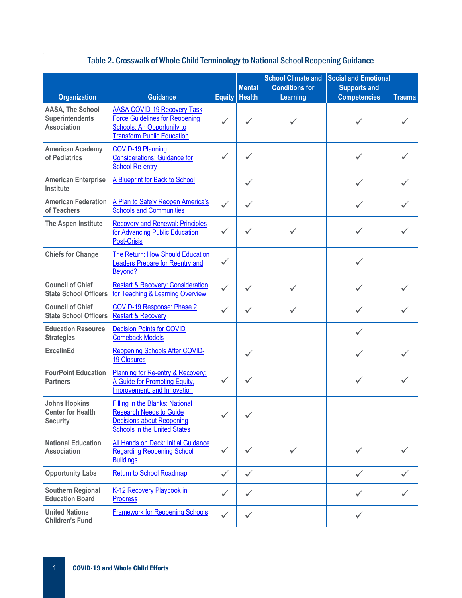| <b>Organization</b>                                                 | <b>Guidance</b>                                                                                                                                       | <b>Equity</b> | <b>Mental</b><br><b>Health</b> | <b>School Climate and</b><br><b>Conditions for</b><br><b>Learning</b> | <b>Social and Emotional</b><br><b>Supports and</b><br><b>Competencies</b> | <b>Trauma</b> |
|---------------------------------------------------------------------|-------------------------------------------------------------------------------------------------------------------------------------------------------|---------------|--------------------------------|-----------------------------------------------------------------------|---------------------------------------------------------------------------|---------------|
| AASA, The School<br><b>Superintendents</b><br><b>Association</b>    | <b>AASA COVID-19 Recovery Task</b><br><b>Force Guidelines for Reopening</b><br><b>Schools: An Opportunity to</b><br><b>Transform Public Education</b> |               |                                |                                                                       |                                                                           |               |
| <b>American Academy</b><br>of Pediatrics                            | <b>COVID-19 Planning</b><br><b>Considerations: Guidance for</b><br><b>School Re-entry</b>                                                             |               |                                |                                                                       |                                                                           |               |
| <b>American Enterprise</b><br><b>Institute</b>                      | A Blueprint for Back to School                                                                                                                        |               | $\checkmark$                   |                                                                       | $\checkmark$                                                              |               |
| <b>American Federation</b><br>of Teachers                           | A Plan to Safely Reopen America's<br><b>Schools and Communities</b>                                                                                   | $\checkmark$  | ✓                              |                                                                       |                                                                           |               |
| The Aspen Institute                                                 | <b>Recovery and Renewal: Principles</b><br>for Advancing Public Education<br><b>Post-Crisis</b>                                                       | ✓             | ✓                              | ✓                                                                     |                                                                           |               |
| <b>Chiefs for Change</b>                                            | The Return: How Should Education<br><b>Leaders Prepare for Reentry and</b><br>Beyond?                                                                 | $\checkmark$  |                                |                                                                       |                                                                           |               |
| <b>Council of Chief</b><br><b>State School Officers</b>             | <b>Restart &amp; Recovery: Consideration</b><br>for Teaching & Learning Overview                                                                      | $\checkmark$  | $\checkmark$                   |                                                                       |                                                                           |               |
| <b>Council of Chief</b><br><b>State School Officers</b>             | <b>COVID-19 Response: Phase 2</b><br><b>Restart &amp; Recovery</b>                                                                                    | $\checkmark$  | $\checkmark$                   | ✓                                                                     |                                                                           |               |
| <b>Education Resource</b><br><b>Strategies</b>                      | <b>Decision Points for COVID</b><br><b>Comeback Models</b>                                                                                            |               |                                |                                                                       | $\checkmark$                                                              |               |
| <b>ExcelinEd</b>                                                    | <b>Reopening Schools After COVID-</b><br><b>19 Closures</b>                                                                                           |               | $\checkmark$                   |                                                                       | ✓                                                                         | ✓             |
| <b>FourPoint Education</b><br><b>Partners</b>                       | Planning for Re-entry & Recovery:<br>A Guide for Promoting Equity,<br>Improvement, and Innovation                                                     | $\checkmark$  | $\checkmark$                   |                                                                       |                                                                           |               |
| <b>Johns Hopkins</b><br><b>Center for Health</b><br><b>Security</b> | <b>Filling in the Blanks: National</b><br><b>Research Needs to Guide</b><br><b>Decisions about Reopening</b><br><b>Schools in the United States</b>   | $\checkmark$  | $\checkmark$                   |                                                                       |                                                                           |               |
| <b>National Education</b><br><b>Association</b>                     | All Hands on Deck: Initial Guidance<br><b>Regarding Reopening School</b><br><b>Buildings</b>                                                          | $\checkmark$  |                                |                                                                       |                                                                           |               |
| <b>Opportunity Labs</b>                                             | <b>Return to School Roadmap</b>                                                                                                                       | $\checkmark$  | $\checkmark$                   |                                                                       | $\checkmark$                                                              |               |
| <b>Southern Regional</b><br><b>Education Board</b>                  | K-12 Recovery Playbook in<br><b>Progress</b>                                                                                                          | ✓             | $\checkmark$                   |                                                                       |                                                                           |               |
| <b>United Nations</b><br><b>Children's Fund</b>                     | <b>Framework for Reopening Schools</b>                                                                                                                | $\checkmark$  | $\checkmark$                   |                                                                       | $\checkmark$                                                              |               |

#### Table 2. Crosswalk of Whole Child Terminology to National School Reopening Guidance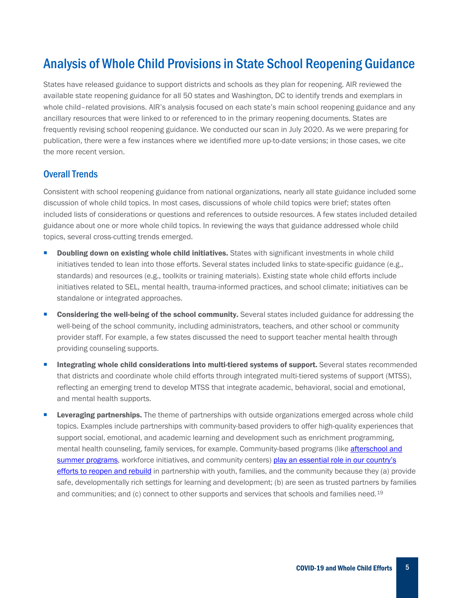## Analysis of Whole Child Provisions in State School Reopening Guidance

States have released guidance to support districts and schools as they plan for reopening. AIR reviewed the available state reopening guidance for all 50 states and Washington, DC to identify trends and exemplars in whole child–related provisions. AIR's analysis focused on each state's main school reopening guidance and any ancillary resources that were linked to or referenced to in the primary reopening documents. States are frequently revising school reopening guidance. We conducted our scan in July 2020. As we were preparing for publication, there were a few instances where we identified more up-to-date versions; in those cases, we cite the more recent version.

#### Overall Trends

Consistent with school reopening guidance from national organizations, nearly all state guidance included some discussion of whole child topics. In most cases, discussions of whole child topics were brief; states often included lists of considerations or questions and references to outside resources. A few states included detailed guidance about one or more whole child topics. In reviewing the ways that guidance addressed whole child topics, several cross-cutting trends emerged.

- Doubling down on existing whole child initiatives. States with significant investments in whole child initiatives tended to lean into those efforts. Several states included links to state-specific guidance (e.g., standards) and resources (e.g., toolkits or training materials). Existing state whole child efforts include initiatives related to SEL, mental health, trauma-informed practices, and school climate; initiatives can be standalone or integrated approaches.
- Considering the well-being of the school community. Several states included guidance for addressing the well-being of the school community, including administrators, teachers, and other school or community provider staff. For example, a few states discussed the need to support teacher mental health through providing counseling supports.
- Integrating whole child considerations into multi-tiered systems of support. Several states recommended that districts and coordinate whole child efforts through integrated multi-tiered systems of support (MTSS), reflecting an emerging trend to develop MTSS that integrate academic, behavioral, social and emotional, and mental health supports.
- Leveraging partnerships. The theme of partnerships with outside organizations emerged across whole child topics. Examples include partnerships with community-based providers to offer high-quality experiences that support social, emotional, and academic learning and development such as enrichment programming, mental health counseling, family services, for example. Community-based programs (like afterschool and [summer programs,](http://www.afterschoolalliance.org/documents/Blueprint-for-How-Afterschool-Programs-Community-Partners-Can-Help.pdf) workforce initiatives, and community centers) play an essential role in our country's [efforts to reopen and rebuild](https://www.air.org/resource/recognizing-role-afterschool-and-summer-programs-and-systems-reopening-and-rebuilding) in partnership with youth, families, and the community because they (a) provide safe, developmentally rich settings for learning and development; (b) are seen as trusted partners by families and communities; and (c) connect to other supports and services that schools and families need.<sup>[19](#page-13-1)</sup>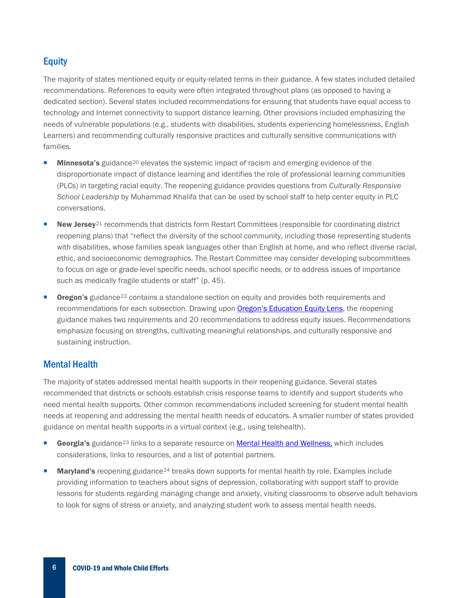#### **Equity**

The majority of states mentioned equity or equity-related terms in their guidance. A few states included detailed recommendations. References to equity were often integrated throughout plans (as opposed to having a dedicated section). Several states included recommendations for ensuring that students have equal access to technology and Internet connectivity to support distance learning. Other provisions included emphasizing the needs of vulnerable populations (e.g., students with disabilities, students experiencing homelessness, English Learners) and recommending culturally responsive practices and culturally sensitive communications with families.

- **Minnesota's** guidance<sup>[20](#page-13-2)</sup> elevates the systemic impact of racism and emerging evidence of the disproportionate impact of distance learning and identifies the role of professional learning communities (PLCs) in targeting racial equity. The reopening guidance provides questions from *Culturally Responsive School Leadership* by Muhammad Khalifa that can be used by school staff to help center equity in PLC conversations.
- New Jersey<sup>[21](#page-13-3)</sup> recommends that districts form Restart Committees (responsible for coordinating district reopening plans) that "reflect the diversity of the school community, including those representing students with disabilities, whose families speak languages other than English at home, and who reflect diverse racial, ethic, and socioeconomic demographics. The Restart Committee may consider developing subcommittees to focus on age or grade-level specific needs, school specific needs, or to address issues of importance such as medically fragile students or staff" (p. 45).
- **Oregon's** guidance<sup>[22](#page-13-4)</sup> contains a standalone section on equity and provides both requirements and recommendations for each subsection. Drawing upo[n Oregon's Education Equity Lens,](https://www.oregon.gov/ode/StudentSuccess/Documents/Appendix%20B%20-%20ODE%20Equity%20Lens.pdf) the reopening guidance makes two requirements and 20 recommendations to address equity issues. Recommendations emphasize focusing on strengths, cultivating meaningful relationships, and culturally responsive and sustaining instruction.

#### Mental Health

The majority of states addressed mental health supports in their reopening guidance. Several states recommended that districts or schools establish crisis response teams to identify and support students who need mental health supports. Other common recommendations included screening for student mental health needs at reopening and addressing the mental health needs of educators. A smaller number of states provided guidance on mental health supports in a virtual context (e.g., using telehealth).

- Georgia's guidance<sup>[23](#page-13-5)</sup> links to a separate resource on **Mental Health and Wellness**, which includes considerations, links to resources, and a list of potential partners.
- Maryland's reopening guidance<sup>[24](#page-13-6)</sup> breaks down supports for mental health by role. Examples include providing information to teachers about signs of depression, collaborating with support staff to provide lessons for students regarding managing change and anxiety, visiting classrooms to observe adult behaviors to look for signs of stress or anxiety, and analyzing student work to assess mental health needs.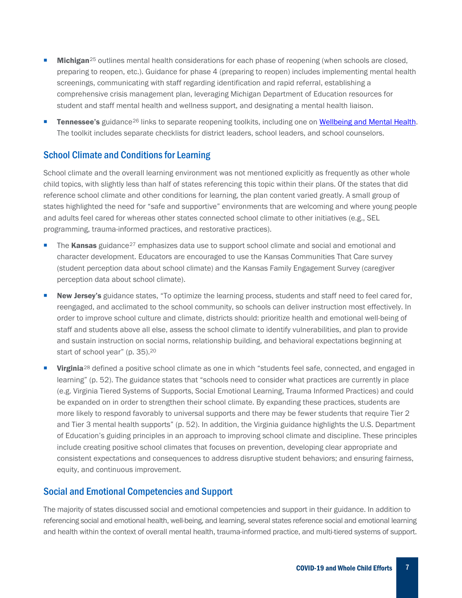- Michigan<sup>[25](#page-13-7)</sup> outlines mental health considerations for each phase of reopening (when schools are closed, preparing to reopen, etc.). Guidance for phase 4 (preparing to reopen) includes implementing mental health screenings, communicating with staff regarding identification and rapid referral, establishing a comprehensive crisis management plan, leveraging Michigan Department of Education resources for student and staff mental health and wellness support, and designating a mental health liaison.
- Tennessee's guidance<sup>[26](#page-13-8)</sup> links to separate reopening toolkits, including one on [Wellbeing and Mental Health.](https://www.tn.gov/content/dam/tn/education/health-&-safety/Wellbeing%20and%20Mental%20Health.pdf) The toolkit includes separate checklists for district leaders, school leaders, and school counselors.

#### School Climate and Conditions for Learning

School climate and the overall learning environment was not mentioned explicitly as frequently as other whole child topics, with slightly less than half of states referencing this topic within their plans. Of the states that did reference school climate and other conditions for learning, the plan content varied greatly. A small group of states highlighted the need for "safe and supportive" environments that are welcoming and where young people and adults feel cared for whereas other states connected school climate to other initiatives (e.g., SEL programming, trauma-informed practices, and restorative practices).

- The Kansas guidance<sup>[27](#page-13-9)</sup> emphasizes data use to support school climate and social and emotional and character development. Educators are encouraged to use the Kansas Communities That Care survey (student perception data about school climate) and the Kansas Family Engagement Survey (caregiver perception data about school climate).
- New Jersey's guidance states, "To optimize the learning process, students and staff need to feel cared for, reengaged, and acclimated to the school community, so schools can deliver instruction most effectively. In order to improve school culture and climate, districts should: prioritize health and emotional well-being of staff and students above all else, assess the school climate to identify vulnerabilities, and plan to provide and sustain instruction on social norms, relationship building, and behavioral expectations beginning at start of school year" (p. 35).20
- **Virginia**<sup>[28](#page-13-10)</sup> defined a positive school climate as one in which "students feel safe, connected, and engaged in learning" (p. 52). The guidance states that "schools need to consider what practices are currently in place (e.g. Virginia Tiered Systems of Supports, Social Emotional Learning, Trauma Informed Practices) and could be expanded on in order to strengthen their school climate. By expanding these practices, students are more likely to respond favorably to universal supports and there may be fewer students that require Tier 2 and Tier 3 mental health supports" (p. 52). In addition, the Virginia guidance highlights the U.S. Department of Education's guiding principles in an approach to improving school climate and discipline. These principles include creating positive school climates that focuses on prevention, developing clear appropriate and consistent expectations and consequences to address disruptive student behaviors; and ensuring fairness, equity, and continuous improvement.

#### Social and Emotional Competencies and Support

The majority of states discussed social and emotional competencies and support in their guidance. In addition to referencing social and emotional health, well-being, and learning, several states reference social and emotional learning and health within the context of overall mental health, trauma-informed practice, and multi-tiered systems of support.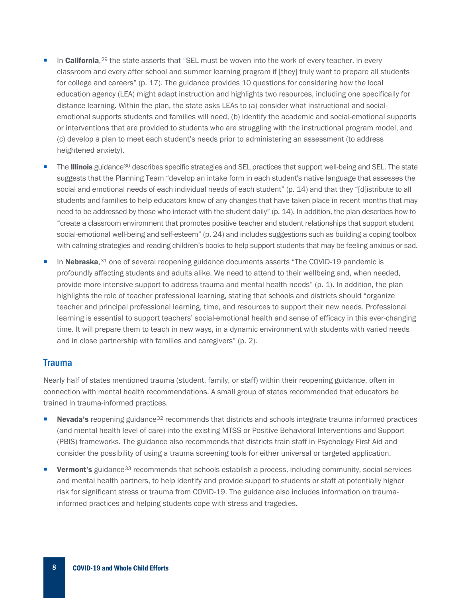- In **California**,<sup>[29](#page-13-11)</sup> the state asserts that "SEL must be woven into the work of every teacher, in every classroom and every after school and summer learning program if [they] truly want to prepare all students for college and careers" (p. 17). The guidance provides 10 questions for considering how the local education agency (LEA) might adapt instruction and highlights two resources, including one specifically for distance learning. Within the plan, the state asks LEAs to (a) consider what instructional and socialemotional supports students and families will need, (b) identify the academic and social-emotional supports or interventions that are provided to students who are struggling with the instructional program model, and (c) develop a plan to meet each student's needs prior to administering an assessment (to address heightened anxiety).
- The Illinois guidance<sup>30</sup> describes specific strategies and SEL practices that support well-being and SEL. The state suggests that the Planning Team "develop an intake form in each student's native language that assesses the social and emotional needs of each individual needs of each student" (p. 14) and that they "[d]istribute to all students and families to help educators know of any changes that have taken place in recent months that may need to be addressed by those who interact with the student daily" (p. 14). In addition, the plan describes how to "create a classroom environment that promotes positive teacher and student relationships that support student social-emotional well-being and self-esteem" (p. 24) and includes suggestions such as building a coping toolbox with calming strategies and reading children's books to help support students that may be feeling anxious or sad.
- In Nebraska,<sup>[31](#page-13-13)</sup> one of several reopening guidance documents asserts "The COVID-19 pandemic is profoundly affecting students and adults alike. We need to attend to their wellbeing and, when needed, provide more intensive support to address trauma and mental health needs" (p. 1). In addition, the plan highlights the role of teacher professional learning, stating that schools and districts should "organize teacher and principal professional learning, time, and resources to support their new needs. Professional learning is essential to support teachers' social-emotional health and sense of efficacy in this ever-changing time. It will prepare them to teach in new ways, in a dynamic environment with students with varied needs and in close partnership with families and caregivers" (p. 2).

#### Trauma

Nearly half of states mentioned trauma (student, family, or staff) within their reopening guidance, often in connection with mental health recommendations. A small group of states recommended that educators be trained in trauma-informed practices.

- Nevada's reopening guidance<sup>[32](#page-13-14)</sup> recommends that districts and schools integrate trauma informed practices (and mental health level of care) into the existing MTSS or Positive Behavioral Interventions and Support (PBIS) frameworks. The guidance also recommends that districts train staff in Psychology First Aid and consider the possibility of using a trauma screening tools for either universal or targeted application.
- Vermont's guidance<sup>[33](#page-13-15)</sup> recommends that schools establish a process, including community, social services and mental health partners, to help identify and provide support to students or staff at potentially higher risk for significant stress or trauma from COVID-19. The guidance also includes information on traumainformed practices and helping students cope with stress and tragedies.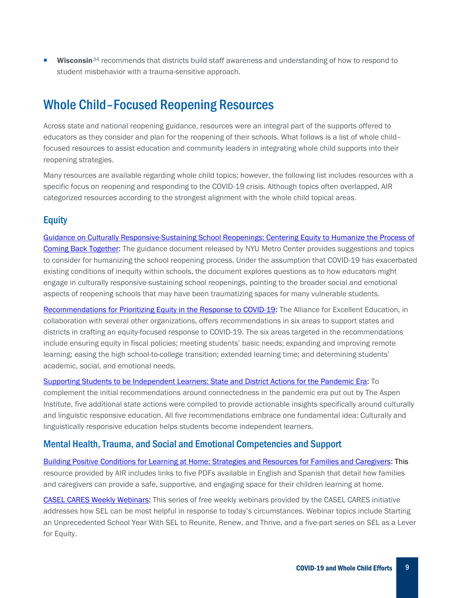Wisconsin<sup>[34](#page-13-16)</sup> recommends that districts build staff awareness and understanding of how to respond to student misbehavior with a trauma-sensitive approach.

## Whole Child–Focused Reopening Resources

Across state and national reopening guidance, resources were an integral part of the supports offered to educators as they consider and plan for the reopening of their schools. What follows is a list of whole child– focused resources to assist education and community leaders in integrating whole child supports into their reopening strategies.

Many resources are available regarding whole child topics; however, the following list includes resources with a specific focus on reopening and responding to the COVID-19 crisis. Although topics often overlapped, AIR categorized resources according to the strongest alignment with the whole child topical areas.

#### **Equity**

[Guidance on Culturally Responsive-Sustaining School Reopenings: Centering Equity to Humanize the Process of](https://static1.squarespace.com/static/5bc5da7c3560c36b7dab1922/t/5ec68ebc23cff3478cd25f12/1590070973440/GUIDANCE+ON+CULTURALLY+RESPONSIVE-+SUSTAINING+RE-OPENING+%281%29.pdf)  [Coming Back Together:](https://static1.squarespace.com/static/5bc5da7c3560c36b7dab1922/t/5ec68ebc23cff3478cd25f12/1590070973440/GUIDANCE+ON+CULTURALLY+RESPONSIVE-+SUSTAINING+RE-OPENING+%281%29.pdf) The guidance document released by NYU Metro Center provides suggestions and topics to consider for humanizing the school reopening process. Under the assumption that COVID-19 has exacerbated existing conditions of inequity within schools, the document explores questions as to how educators might engage in culturally responsive-sustaining school reopenings, pointing to the broader social and emotional aspects of reopening schools that may have been traumatizing spaces for many vulnerable students.

[Recommendations for Prioritizing Equity in the Response to COVID-19:](https://all4ed.org/coronavirus-and-the-classroom-recommendations-for-prioritizing-equity-in-the-response-to-covid-19/) The Alliance for Excellent Education, in collaboration with several other organizations, offers recommendations in six areas to support states and districts in crafting an equity-focused response to COVID-19. The six areas targeted in the recommendations include ensuring equity in fiscal policies; meeting students' basic needs; expanding and improving remote learning; easing the high school-to-college transition; extended learning time; and determining students' academic, social, and emotional needs.

[Supporting Students to be Independent Learners: State and District Actions for the Pandemic Era:](https://www.aspeninstitute.org/publications/state-and-district-actions-for-the-pandemic-era/) To complement the initial recommendations around connectedness in the pandemic era put out by The Aspen Institute, five additional state actions were compiled to provide actionable insights specifically around culturally and linguistic responsive education. All five recommendations embrace one fundamental idea: Culturally and linguistically responsive education helps students become independent learners.

#### Mental Health, Trauma, and Social and Emotional Competencies and Support

[Building Positive Conditions for Learning at Home: Strategies and Resources for Families and Caregivers:](https://www.air.org/resource/building-positive-conditions-learning-home-strategies-and-resources-families-and-caregivers) This resource provided by AIR includes links to five PDFs available in English and Spanish that detail how families and caregivers can provide a safe, supportive, and engaging space for their children learning at home.

[CASEL CARES Weekly Webinars:](https://nam01.safelinks.protection.outlook.com/?url=https%3A%2F%2Fcasel.org%2Fweekly-webinars%2F&data=02%7C01%7Csquinn%40air.org%7C1f7de3ea310a4fc678ab08d83986e57e%7C9ea45dbc7b724abfa77cc770a0a8b962%7C0%7C0%7C637322598823646500&sdata=sGHbD%2FZSC74Cj07qG8iCjgwr629Vw7xwbydAT39Jl0A%3D&reserved=0) This series of free weekly webinars provided by the CASEL CARES initiative addresses how SEL can be most helpful in response to today's circumstances. Webinar topics include Starting an Unprecedented School Year With SEL to Reunite, Renew, and Thrive, and a five-part series on SEL as a Lever for Equity.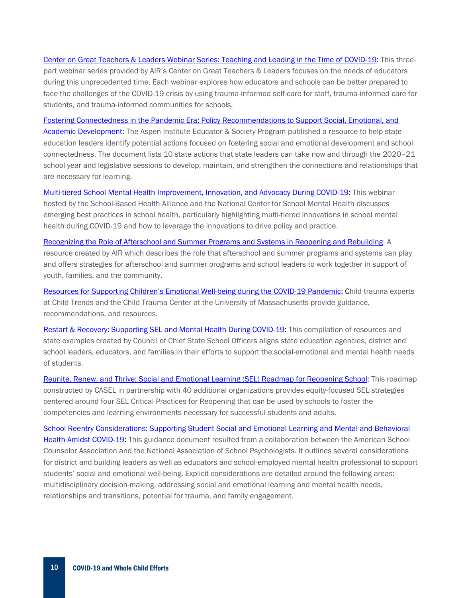[Center on Great Teachers & Leaders Webinar Series: Teaching and Leading in the Time of COVID-19:](https://gtlcenter.org/products-resources/webinar-series-teaching-and-leading-time-covid-19) This threepart webinar series provided by AIR's Center on Great Teachers & Leaders focuses on the needs of educators during this unprecedented time. Each webinar explores how educators and schools can be better prepared to face the challenges of the COVID-19 crisis by using trauma-informed self-care for staff, trauma-informed care for students, and trauma-informed communities for schools.

[Fostering Connectedness in the Pandemic Era: Policy Recommendations to Support Social, Emotional, and](https://www.aspeninstitute.org/publications/policy-recommendations-to-support-social-emotional-and-academic-development-fostering-connectedness-in-the-pandemic-era/)  [Academic Development:](https://www.aspeninstitute.org/publications/policy-recommendations-to-support-social-emotional-and-academic-development-fostering-connectedness-in-the-pandemic-era/) The Aspen Institute Educator & Society Program published a resource to help state education leaders identify potential actions focused on fostering social and emotional development and school connectedness. The document lists 10 state actions that state leaders can take now and through the 2020–21 school year and legislative sessions to develop, maintain, and strengthen the connections and relationships that are necessary for learning.

[Multi-tiered School Mental Health Improvement, Innovation, and Advocacy During COVID-19:](https://www.youtube.com/watch?v=M9ZYzxgYAR8) This webinar hosted by the School-Based Health Alliance and the National Center for School Mental Health discusses emerging best practices in school health, particularly highlighting multi-tiered innovations in school mental health during COVID-19 and how to leverage the innovations to drive policy and practice.

[Recognizing the Role of Afterschool and Summer Programs and Systems in Reopening and Rebuilding:](https://www.air.org/resource/recognizing-role-afterschool-and-summer-programs-and-systems-reopening-and-rebuilding) A resource created by AIR which describes the role that afterschool and summer programs and systems can play and offers strategies for afterschool and summer programs and school leaders to work together in support of youth, families, and the community.

[Resources for Supporting Children's Emotional Well-being during the COVID-19 Pandemic:](https://www.childtrends.org/publications/resources-for-supporting-childrens-emotional-well-being-during-the-covid-19-pandemic) Child trauma experts at Child Trends and the Child Trauma Center at the University of Massachusetts provide guidance, recommendations, and resources.

[Restart & Recovery: Supporting SEL and Mental Health During COVID-19:](https://ccsso.org/sites/default/files/2020-06/Supporting%20SEL%20and%20Mental%20Health%20During%20COVID19_Complete%20%281%29.pdf) This compilation of resources and state examples created by Council of Chief State School Officers aligns state education agencies, district and school leaders, educators, and families in their efforts to support the social-emotional and mental health needs of students.

[Reunite, Renew, and Thrive: Social and Emotional Learning \(SEL\) Roadmap for Reopening School:](https://nam01.safelinks.protection.outlook.com/?url=https%3A%2F%2Fcasel.org%2Fwp-content%2Fuploads%2F2020%2F07%2FSEL-ROADMAP.pdf&data=02%7C01%7Csquinn%40air.org%7C1f7de3ea310a4fc678ab08d83986e57e%7C9ea45dbc7b724abfa77cc770a0a8b962%7C0%7C0%7C637322598823636548&sdata=jUfclZzWOGQJZKrI0P%2BA64iHFqiSpxgM1eB0rPaKx14%3D&reserved=0) This roadmap constructed by CASEL in partnership with 40 additional organizations provides equity-focused SEL strategies centered around four SEL Critical Practices for Reopening that can be used by schools to foster the competencies and learning environments necessary for successful students and adults.

[School Reentry Considerations: Supporting Student Social and Emotional Learning and Mental and Behavioral](https://www.schoolcounselor.org/asca/media/asca/Publications/SchoolReentry.pdf)  [Health Amidst COVID-19:](https://www.schoolcounselor.org/asca/media/asca/Publications/SchoolReentry.pdf) This guidance document resulted from a collaboration between the American School Counselor Association and the National Association of School Psychologists. It outlines several considerations for district and building leaders as well as educators and school-employed mental health professional to support students' social and emotional well-being. Explicit considerations are detailed around the following areas: multidisciplinary decision-making, addressing social and emotional learning and mental health needs, relationships and transitions, potential for trauma, and family engagement.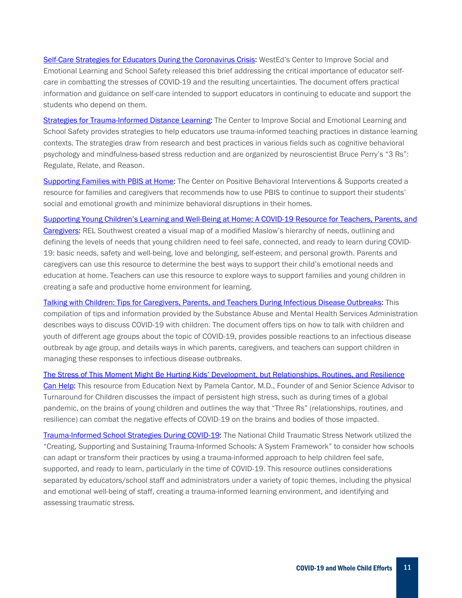[Self-Care Strategies for Educators During the Coronavirus Crisis:](https://selcenter.wested.org/wp-content/uploads/sites/3/2020/05/Self_Care_Strategies_for_Educators_During_the_Coronavirus_Crisis.pdf) WestEd's Center to Improve Social and Emotional Learning and School Safety released this brief addressing the critical importance of educator selfcare in combatting the stresses of COVID-19 and the resulting uncertainties. The document offers practical information and guidance on self-care intended to support educators in continuing to educate and support the students who depend on them.

[Strategies for Trauma-Informed Distance Learning:](https://selcenter.wested.org/wp-content/uploads/sites/3/2020/05/SEL_Center_Strategies_for_Trauma_Informed_Distance_Learning_Brief.pdf) The Center to Improve Social and Emotional Learning and School Safety provides strategies to help educators use trauma-informed teaching practices in distance learning contexts. The strategies draw from research and best practices in various fields such as cognitive behavioral psychology and mindfulness-based stress reduction and are organized by neuroscientist Bruce Perry's "3 Rs": Regulate, Relate, and Reason.

[Supporting Families with PBIS at Home:](https://www.pbis.org/resource/supporting-families-with-pbis-at-home) The Center on Positive Behavioral Interventions & Supports created a resource for families and caregivers that recommends how to use PBIS to continue to support their students' social and emotional growth and minimize behavioral disruptions in their homes.

[Supporting Young Children's Learning and Well-Being at Home: A COVID-19 Resource for Teachers, Parents, and](https://ies.ed.gov/ncee/edlabs/infographics/pdf/REL_SW_Supporting_young_childrens_learning_and_wellbeing_at_home.pdf)  [Caregivers:](https://ies.ed.gov/ncee/edlabs/infographics/pdf/REL_SW_Supporting_young_childrens_learning_and_wellbeing_at_home.pdf) REL Southwest created a visual map of a modified Maslow's hierarchy of needs, outlining and defining the levels of needs that young children need to feel safe, connected, and ready to learn during COVID-19: basic needs, safety and well-being, love and belonging, self-esteem, and personal growth. Parents and caregivers can use this resource to determine the best ways to support their child's emotional needs and education at home. Teachers can use this resource to explore ways to support families and young children in creating a safe and productive home environment for learning.

[Talking with Children: Tips for Caregivers, Parents, and Teachers During Infectious Disease Outbreaks:](https://store.samhsa.gov/product/Talking-With-Children-Tips-for-Caregivers-Parents-and-Teachers-During-Infectious-Disease-Outbreaks/PEP20-01-01-006) This compilation of tips and information provided by the Substance Abuse and Mental Health Services Administration describes ways to discuss COVID-19 with children. The document offers tips on how to talk with children and youth of different age groups about the topic of COVID-19, provides possible reactions to an infectious disease outbreak by age group, and details ways in which parents, caregivers, and teachers can support children in managing these responses to infectious disease outbreaks.

[The Stress of This Moment Might Be Hurting Kids' Development,](https://www.educationnext.org/stress-of-coronavirus-might-be-hurting-kids-development-but-relationships-routines-resilience-can-help/) but Relationships, Routines, and Resilience [Can Help:](https://www.educationnext.org/stress-of-coronavirus-might-be-hurting-kids-development-but-relationships-routines-resilience-can-help/) This resource from Education Next by Pamela Cantor, M.D., Founder of and Senior Science Advisor to Turnaround for Children discusses the impact of persistent high stress, such as during times of a global pandemic, on the brains of young children and outlines the way that "Three Rs" (relationships, routines, and resilience) can combat the negative effects of COVID-19 on the brains and bodies of those impacted.

[Trauma-Informed School Strategies During COVID-19:](https://www.nctsn.org/resources/trauma-informed-school-strategies-during-covid-19) The National Child Traumatic Stress Network utilized the "Creating, Supporting and Sustaining Trauma-Informed Schools: A System Framework" to consider how schools can adapt or transform their practices by using a trauma-informed approach to help children feel safe, supported, and ready to learn, particularly in the time of COVID-19. This resource outlines considerations separated by educators/school staff and administrators under a variety of topic themes, including the physical and emotional well-being of staff, creating a trauma-informed learning environment, and identifying and assessing traumatic stress.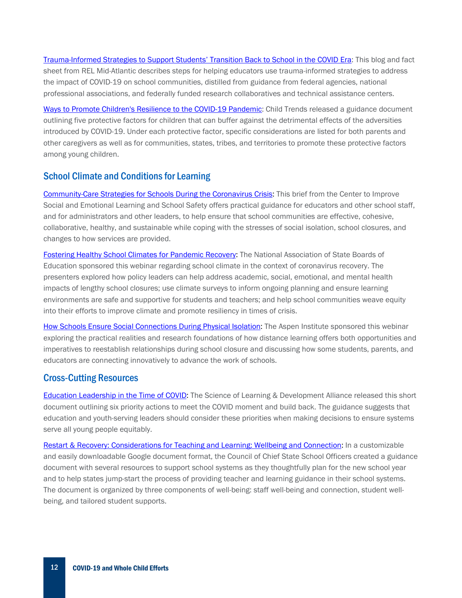[Trauma-Informed Strategies to Support Students' Transition Back to School in the COVID Era:](https://ies.ed.gov/ncee/edlabs/regions/midatlantic/app/Blog/Post/1037) This blog and fact sheet from REL Mid-Atlantic describes steps for helping educators use trauma-informed strategies to address the impact of COVID-19 on school communities, distilled from guidance from federal agencies, national professional associations, and federally funded research collaboratives and technical assistance centers.

[Ways to Promote Children's Resilience to the COVID-19 Pandemic:](https://nam01.safelinks.protection.outlook.com/?url=https%3A%2F%2Fwww.childtrends.org%2Fwp-content%2Fuploads%2F2020%2F04%2FCOVIDProtectiveFactors_ChildTrends_April2020.pdf&data=02%7C01%7Csquinn%40air.org%7C1f7de3ea310a4fc678ab08d83986e57e%7C9ea45dbc7b724abfa77cc770a0a8b962%7C0%7C0%7C637322598823686325&sdata=EShbc1Vdx90qJAwjVu36%2BDKFIsjpEJEfpJdHWUY6X8g%3D&reserved=0) Child Trends released a guidance document outlining five protective factors for children that can buffer against the detrimental effects of the adversities introduced by COVID-19. Under each protective factor, specific considerations are listed for both parents and other caregivers as well as for communities, states, tribes, and territories to promote these protective factors among young children.

#### School Climate and Conditions for Learning

[Community-Care Strategies for Schools During the Coronavirus Crisis:](https://selcenter.wested.org/wp-content/uploads/sites/3/2020/05/Brief_Community_Care_Strategies.pdf) This brief from the Center to Improve Social and Emotional Learning and School Safety offers practical guidance for educators and other school staff, and for administrators and other leaders, to help ensure that school communities are effective, cohesive, collaborative, healthy, and sustainable while coping with the stresses of social isolation, school closures, and changes to how services are provided.

[Fostering Healthy School Climates for Pandemic Recovery:](https://www.nasbe.org/event/fostering-healthy-school-climates-for-pandemic-recovery/) The National Association of State Boards of Education sponsored this webinar regarding school climate in the context of coronavirus recovery. The presenters explored how policy leaders can help address academic, social, emotional, and mental health impacts of lengthy school closures; use climate surveys to inform ongoing planning and ensure learning environments are safe and supportive for students and teachers; and help school communities weave equity into their efforts to improve climate and promote resiliency in times of crisis.

[How Schools Ensure Social Connections During](https://www.wested.org/resources/social-connections-during-physical-isolation/) Physical Isolation: The Aspen Institute sponsored this webinar exploring the practical realities and research foundations of how distance learning offers both opportunities and imperatives to reestablish relationships during school closure and discussing how some students, parents, and educators are connecting innovatively to advance the work of schools.

#### Cross-Cutting Resources

[Education Leadership in the Time of COVID:](https://5bde8401-9b54-4c2c-8a0c-569fc1789664.filesusr.com/ugd/eb0b6a_c9fa9ba4fdc544eaae3c3fef2d0cd569.pdf) The Science of Learning & Development Alliance released this short document outlining six priority actions to meet the COVID moment and build back. The guidance suggests that education and youth-serving leaders should consider these priorities when making decisions to ensure systems serve all young people equitably.

[Restart & Recovery: Considerations for Teaching and Learning: Wellbeing and Connection:](https://nam01.safelinks.protection.outlook.com/?url=https%3A%2F%2Fdocs.google.com%2Fdocument%2Fd%2F163ZNDs7sZ0FWOT7-1JFxQ9Lbo6zbQNJhaHSs0LbljCE%2Fedit&data=02%7C01%7Csquinn%40air.org%7C1f7de3ea310a4fc678ab08d83986e57e%7C9ea45dbc7b724abfa77cc770a0a8b962%7C0%7C0%7C637322598823696288&sdata=ZRX5R6ZPRc5oBYq%2FTDQtQCkBgKfwQibVyuYRdoorSP8%3D&reserved=0) In a customizable and easily downloadable Google document format, the Council of Chief State School Officers created a guidance document with several resources to support school systems as they thoughtfully plan for the new school year and to help states jump-start the process of providing teacher and learning guidance in their school systems. The document is organized by three components of well-being: staff well-being and connection, student wellbeing, and tailored student supports.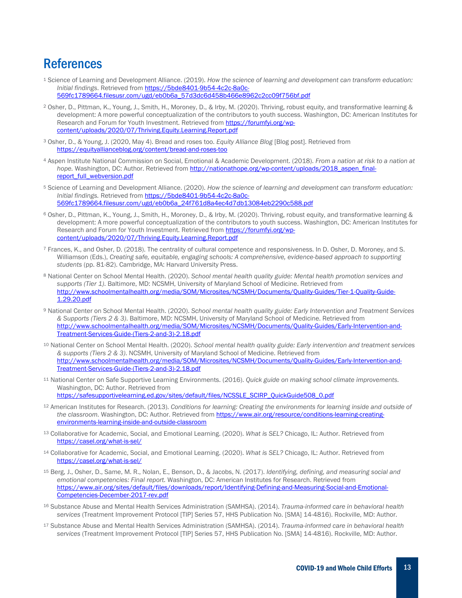### References

- <span id="page-12-0"></span><sup>1</sup> Science of Learning and Development Alliance. (2019). *How the science of learning and development can transform education: Initial findings*. Retrieved from [https://5bde8401-9b54-4c2c-8a0c-](https://5bde8401-9b54-4c2c-8a0c-569fc1789664.filesusr.com/ugd/eb0b6a_57d3dc6d458b466e8962c2cc09f756bf.pdf)[569fc1789664.filesusr.com/ugd/eb0b6a\\_57d3dc6d458b466e8962c2cc09f756bf.pdf](https://5bde8401-9b54-4c2c-8a0c-569fc1789664.filesusr.com/ugd/eb0b6a_57d3dc6d458b466e8962c2cc09f756bf.pdf)
- <span id="page-12-1"></span><sup>2</sup> Osher, D., Pittman, K., Young, J., Smith, H., Moroney, D., & Irby, M. (2020). Thriving, robust equity, and transformative learning & development: A more powerful conceptualization of the contributors to youth success. Washington, DC: American Institutes for Research and Forum for Youth Investment. Retrieved from [https://forumfyi.org/wp](https://forumfyi.org/wp-content/uploads/2020/07/Thriving.Equity.Learning.Report.pdf)[content/uploads/2020/07/Thriving.Equity.Learning.Report.pdf](https://forumfyi.org/wp-content/uploads/2020/07/Thriving.Equity.Learning.Report.pdf)
- <span id="page-12-2"></span><sup>3</sup> Osher, D., & Young, J. (2020, May 4). Bread and roses too. *Equity Alliance Blog* [Blog post]. Retrieved from <https://equityallianceblog.org/content/bread-and-roses-too>
- <span id="page-12-3"></span><sup>4</sup> Aspen Institute National Commission on Social, Emotional & Academic Development. (2018). *From a nation at risk to a nation at*  hope. Washington, DC: Author. Retrieved from [http://nationathope.org/wp-content/uploads/2018\\_aspen\\_final](http://nationathope.org/wp-content/uploads/2018_aspen_final-report_full_webversion.pdf)[report\\_full\\_webversion.pdf](http://nationathope.org/wp-content/uploads/2018_aspen_final-report_full_webversion.pdf)
- <span id="page-12-4"></span><sup>5</sup> Science of Learning and Development Alliance. (2020). *How the science of learning and development can transform education: Initial findings.* Retrieved from [https://5bde8401-9b54-4c2c-8a0c-](https://5bde8401-9b54-4c2c-8a0c-569fc1789664.filesusr.com/ugd/eb0b6a_24f761d8a4ec4d7db13084eb2290c588.pdf)[569fc1789664.filesusr.com/ugd/eb0b6a\\_24f761d8a4ec4d7db13084eb2290c588.pdf](https://5bde8401-9b54-4c2c-8a0c-569fc1789664.filesusr.com/ugd/eb0b6a_24f761d8a4ec4d7db13084eb2290c588.pdf)
- <span id="page-12-5"></span><sup>6</sup> Osher, D., Pittman, K., Young, J., Smith, H., Moroney, D., & Irby, M. (2020). Thriving, robust equity, and transformative learning & development: A more powerful conceptualization of the contributors to youth success. Washington, DC: American Institutes for Research and Forum for Youth Investment. Retrieved from [https://forumfyi.org/wp](https://forumfyi.org/wp-content/uploads/2020/07/Thriving.Equity.Learning.Report.pdf)[content/uploads/2020/07/Thriving.Equity.Learning.Report.pdf](https://forumfyi.org/wp-content/uploads/2020/07/Thriving.Equity.Learning.Report.pdf)
- <span id="page-12-6"></span><sup>7</sup> Frances, K., and Osher, D. (2018). The centrality of cultural competence and responsiveness. In D. Osher, D. Moroney, and S. Williamson (Eds.), *Creating safe, equitable, engaging schools: A comprehensive, evidence-based approach to supporting students* (pp. 81-82). Cambridge, MA: Harvard University Press.
- <span id="page-12-7"></span><sup>8</sup> National Center on School Mental Health. (2020). *School mental health quality guide: Mental health promotion services and supports (Tier 1)*. Baltimore, MD: NCSMH, University of Maryland School of Medicine. Retrieved from [http://www.schoolmentalhealth.org/media/SOM/Microsites/NCSMH/Documents/Quality-Guides/Tier-1-Quality-Guide-](http://www.schoolmentalhealth.org/media/SOM/Microsites/NCSMH/Documents/Quality-Guides/Tier-1-Quality-Guide-1.29.20.pdf)[1.29.20.pdf](http://www.schoolmentalhealth.org/media/SOM/Microsites/NCSMH/Documents/Quality-Guides/Tier-1-Quality-Guide-1.29.20.pdf)
- <span id="page-12-8"></span><sup>9</sup> National Center on School Mental Health. (2020). *School mental health quality guide: Early Intervention and Treatment Services & Supports (Tiers 2 & 3)*. Baltimore, MD: NCSMH, University of Maryland School of Medicine. Retrieved from [http://www.schoolmentalhealth.org/media/SOM/Microsites/NCSMH/Documents/Quality-Guides/Early-Intervention-and-](http://www.schoolmentalhealth.org/media/SOM/Microsites/NCSMH/Documents/Quality-Guides/Early-Intervention-and-Treatment-Services-Guide-(Tiers-2-and-3)-2.18.pdf)[Treatment-Services-Guide-\(Tiers-2-and-3\)-2.18.pdf](http://www.schoolmentalhealth.org/media/SOM/Microsites/NCSMH/Documents/Quality-Guides/Early-Intervention-and-Treatment-Services-Guide-(Tiers-2-and-3)-2.18.pdf)
- <span id="page-12-9"></span><sup>10</sup> National Center on School Mental Health. (2020). *School mental health quality guide: Early intervention and treatment services & supports (Tiers 2 & 3)*. NCSMH, University of Maryland School of Medicine. Retrieved from [http://www.schoolmentalhealth.org/media/SOM/Microsites/NCSMH/Documents/Quality-Guides/Early-Intervention-and-](http://www.schoolmentalhealth.org/media/SOM/Microsites/NCSMH/Documents/Quality-Guides/Early-Intervention-and-Treatment-Services-Guide-(Tiers-2-and-3)-2.18.pdf)[Treatment-Services-Guide-\(Tiers-2-and-3\)-2.18.pdf](http://www.schoolmentalhealth.org/media/SOM/Microsites/NCSMH/Documents/Quality-Guides/Early-Intervention-and-Treatment-Services-Guide-(Tiers-2-and-3)-2.18.pdf)
- <span id="page-12-10"></span><sup>11</sup> National Center on Safe Supportive Learning Environments. (2016). *Quick guide on making school climate improvements.*  Washington, DC: Author. Retrieved from [https://safesupportivelearning.ed.gov/sites/default/files/NCSSLE\\_SCIRP\\_QuickGuide508\\_0.pdf](https://safesupportivelearning.ed.gov/sites/default/files/NCSSLE_SCIRP_QuickGuide508_0.pdf)
- <span id="page-12-11"></span><sup>12</sup> American Institutes for Research. (2013). *Conditions for learning: Creating the environments for learning inside and outside of the classroom.* Washington, DC: Author. Retrieved fro[m https://www.air.org/resource/conditions-learning-creating](https://www.air.org/resource/conditions-learning-creating-environments-learning-inside-and-outside-classroom)[environments-learning-inside-and-outside-classroom](https://www.air.org/resource/conditions-learning-creating-environments-learning-inside-and-outside-classroom)
- <span id="page-12-12"></span><sup>13</sup> Collaborative for Academic, Social, and Emotional Learning. (2020). *What is SEL?* Chicago, IL: Author. Retrieved from <https://casel.org/what-is-sel/>
- <span id="page-12-13"></span><sup>14</sup> Collaborative for Academic, Social, and Emotional Learning. (2020). *What is SEL?* Chicago, IL: Author. Retrieved from <https://casel.org/what-is-sel/>
- <span id="page-12-14"></span><sup>15</sup> Berg, J., Osher, D., Same, M. R., Nolan, E., Benson, D., & Jacobs, N. (2017). *Identifying, defining, and measuring social and emotional competencies: Final report.* Washington, DC: American Institutes for Research. Retrieved from [https://www.air.org/sites/default/files/downloads/report/Identifying-Defining-and-Measuring-Social-and-Emotional-](https://www.air.org/sites/default/files/downloads/report/Identifying-Defining-and-Measuring-Social-and-Emotional-Competencies-December-2017-rev.pdf)[Competencies-December-2017-rev.pdf](https://www.air.org/sites/default/files/downloads/report/Identifying-Defining-and-Measuring-Social-and-Emotional-Competencies-December-2017-rev.pdf)
- <span id="page-12-15"></span><sup>16</sup> Substance Abuse and Mental Health Services Administration (SAMHSA). (2014). *Trauma-informed care in behavioral health services* (Treatment Improvement Protocol [TIP] Series 57, HHS Publication No. [SMA] 14-4816). Rockville, MD: Author.
- <span id="page-12-16"></span><sup>17</sup> Substance Abuse and Mental Health Services Administration (SAMHSA). (2014). *Trauma-informed care in behavioral health services* (Treatment Improvement Protocol [TIP] Series 57, HHS Publication No. [SMA] 14-4816). Rockville, MD: Author.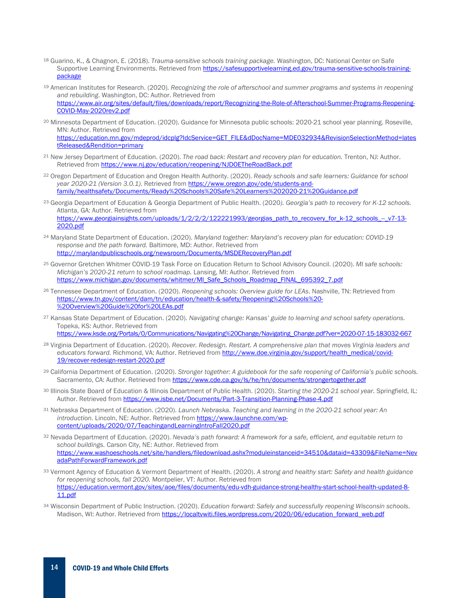- <span id="page-13-0"></span><sup>18</sup> Guarino, K., & Chagnon, E. (2018). *Trauma-sensitive schools training package.* Washington, DC: National Center on Safe Supportive Learning Environments. Retrieved from [https://safesupportivelearning.ed.gov/trauma-sensitive-schools-training](https://safesupportivelearning.ed.gov/trauma-sensitive-schools-training-package)[package](https://safesupportivelearning.ed.gov/trauma-sensitive-schools-training-package)
- <span id="page-13-1"></span><sup>19</sup> American Institutes for Research. (2020). *Recognizing the role of afterschool and summer programs and systems in reopening and rebuilding*. Washington, DC: Author. Retrieved from [https://www.air.org/sites/default/files/downloads/report/Recognizing-the-Role-of-Afterschool-Summer-Programs-Reopening-](https://www.air.org/sites/default/files/downloads/report/Recognizing-the-Role-of-Afterschool-Summer-Programs-Reopening-COVID-May-2020rev2.pdf)[COVID-May-2020rev2.pdf](https://www.air.org/sites/default/files/downloads/report/Recognizing-the-Role-of-Afterschool-Summer-Programs-Reopening-COVID-May-2020rev2.pdf)
- <span id="page-13-2"></span><sup>20</sup> Minnesota Department of Education. (2020). Guidance for Minnesota public schools: 2020-21 school year planning. Roseville, MN: Author. Retrieved from [https://education.mn.gov/mdeprod/idcplg?IdcService=GET\\_FILE&dDocName=MDE032934&RevisionSelectionMethod=lates](https://education.mn.gov/mdeprod/idcplg?IdcService=GET_FILE&dDocName=MDE032934&RevisionSelectionMethod=latestReleased&Rendition=primary) [tReleased&Rendition=primary](https://education.mn.gov/mdeprod/idcplg?IdcService=GET_FILE&dDocName=MDE032934&RevisionSelectionMethod=latestReleased&Rendition=primary)
- <span id="page-13-3"></span><sup>21</sup> New Jersey Department of Education. (2020). *The road back: Restart and recovery plan for education.* Trenton, NJ: Author. Retrieved from<https://www.nj.gov/education/reopening/NJDOETheRoadBack.pdf>
- <span id="page-13-4"></span><sup>22</sup> Oregon Department of Education and Oregon Health Authority. (2020). *Ready schools and safe learners: Guidance for school year 2020-21 (Version 3.0.1)*. Retrieved fro[m https://www.oregon.gov/ode/students-and](https://www.oregon.gov/ode/students-and-family/healthsafety/Documents/Ready%20Schools%20Safe%20Learners%202020-21%20Guidance.pdf)[family/healthsafety/Documents/Ready%20Schools%20Safe%20Learners%202020-21%20Guidance.pdf](https://www.oregon.gov/ode/students-and-family/healthsafety/Documents/Ready%20Schools%20Safe%20Learners%202020-21%20Guidance.pdf)
- <span id="page-13-5"></span><sup>23</sup> Georgia Department of Education & Georgia Department of Public Health. (2020*). Georgia's path to recovery for K-12 schools.* Atlanta, GA: Author. Retrieved from

https://www.georgiainsights.com/uploads/1/2/2/2/122221993/georgias\_path\_to\_recovery\_for\_k-12\_schools\_-\_v7-13-[2020.pdf](https://www.georgiainsights.com/uploads/1/2/2/2/122221993/georgias_path_to_recovery_for_k-12_schools_--_v7-13-2020.pdf)

- <span id="page-13-6"></span><sup>24</sup> Maryland State Department of Education. (2020). *Maryland together: Maryland's recovery plan for education: COVID-19 response and the path forward.* Baltimore, MD: Author. Retrieved from <http://marylandpublicschools.org/newsroom/Documents/MSDERecoveryPlan.pdf>
- <span id="page-13-7"></span><sup>25</sup> Governor Gretchen Whitmer COVID-19 Task Force on Education Return to School Advisory Council. (2020). *MI safe schools: Michigan's 2020-21 return to school roadmap.* Lansing, MI: Author. Retrieved from [https://www.michigan.gov/documents/whitmer/MI\\_Safe\\_Schools\\_Roadmap\\_FINAL\\_695392\\_7.pdf](https://www.michigan.gov/documents/whitmer/MI_Safe_Schools_Roadmap_FINAL_695392_7.pdf)
- <span id="page-13-8"></span><sup>26</sup> Tennessee Department of Education. (2020). *Reopening schools: Overview guide for LEAs*. Nashville, TN: Retrieved from [https://www.tn.gov/content/dam/tn/education/health-&-safety/Reopening%20Schools%20-](https://www.tn.gov/content/dam/tn/education/health-&-safety/Reopening%20Schools%20-%20Overview%20Guide%20for%20LEAs.pdf) [%20Overview%20Guide%20for%20LEAs.pdf](https://www.tn.gov/content/dam/tn/education/health-&-safety/Reopening%20Schools%20-%20Overview%20Guide%20for%20LEAs.pdf)
- <span id="page-13-9"></span><sup>27</sup> Kansas State Department of Education. (2020). *Navigating change: Kansas' guide to learning and school safety operations.* Topeka, KS: Author. Retrieved from [https://www.ksde.org/Portals/0/Communications/Navigating%20Change/Navigating\\_Change.pdf?ver=2020-07-15-183032-667](https://www.ksde.org/Portals/0/Communications/Navigating%20Change/Navigating_Change.pdf?ver=2020-07-15-183032-667)
- <span id="page-13-10"></span><sup>28</sup> Virginia Department of Education. (2020). *Recover. Redesign. Restart. A comprehensive plan that moves Virginia leaders and*  educators forward. Richmond, VA: Author. Retrieved fro[m http://www.doe.virginia.gov/support/health\\_medical/covid-](http://www.doe.virginia.gov/support/health_medical/covid-19/recover-redesign-restart-2020.pdf)[19/recover-redesign-restart-2020.pdf](http://www.doe.virginia.gov/support/health_medical/covid-19/recover-redesign-restart-2020.pdf)
- <span id="page-13-11"></span><sup>29</sup> California Department of Education. (2020). *Stronger together: A guidebook for the safe reopening of California's public schools.*  Sacramento, CA: Author. Retrieved fro[m https://www.cde.ca.gov/ls/he/hn/documents/strongertogether.pdf](https://www.cde.ca.gov/ls/he/hn/documents/strongertogether.pdf)
- <span id="page-13-12"></span><sup>30</sup> Illinois State Board of Education & Illinois Department of Public Health. (2020). *Starting the 2020-21 school year.* Springfield, IL: Author. Retrieved fro[m https://www.isbe.net/Documents/Part-3-Transition-Planning-Phase-4.pdf](https://www.isbe.net/Documents/Part-3-Transition-Planning-Phase-4.pdf)
- <span id="page-13-13"></span><sup>31</sup> Nebraska Department of Education. (2020). *Launch Nebraska. Teaching and learning in the 2020-21 school year: An*  introduction. Lincoln, NE: Author. Retrieved from [https://www.launchne.com/wp](https://www.launchne.com/wp-content/uploads/2020/07/TeachingandLearningIntroFall2020.pdf)[content/uploads/2020/07/TeachingandLearningIntroFall2020.pdf](https://www.launchne.com/wp-content/uploads/2020/07/TeachingandLearningIntroFall2020.pdf)
- <span id="page-13-14"></span><sup>32</sup> Nevada Department of Education. (2020). *Nevada's path forward: A framework for a safe, efficient, and equitable return to school buildings.* Carson City, NE: Author. Retrieved from [https://www.washoeschools.net/site/handlers/filedownload.ashx?moduleinstanceid=34510&dataid=43309&FileName=Nev](https://www.washoeschools.net/site/handlers/filedownload.ashx?moduleinstanceid=34510&dataid=43309&FileName=NevadaPathForwardFramework.pdf) [adaPathForwardFramework.pdf](https://www.washoeschools.net/site/handlers/filedownload.ashx?moduleinstanceid=34510&dataid=43309&FileName=NevadaPathForwardFramework.pdf)
- <span id="page-13-15"></span><sup>33</sup> Vermont Agency of Education & Vermont Department of Health. (2020). *A strong and healthy start: Safety and health guidance for reopening schools, fall 2020.* Montpelier, VT: Author. Retrieved from [https://education.vermont.gov/sites/aoe/files/documents/edu-vdh-guidance-strong-healthy-start-school-health-updated-8-](https://education.vermont.gov/sites/aoe/files/documents/edu-vdh-guidance-strong-healthy-start-school-health-updated-8-11.pdf) [11.pdf](https://education.vermont.gov/sites/aoe/files/documents/edu-vdh-guidance-strong-healthy-start-school-health-updated-8-11.pdf)
- <span id="page-13-16"></span><sup>34</sup> Wisconsin Department of Public Instruction. (2020). *Education forward: Safely and successfully reopening Wisconsin schools*. Madison, WI: Author. Retrieved from https://localtywiti.files.wordpress.com/2020/06/education\_forward\_web.pdf